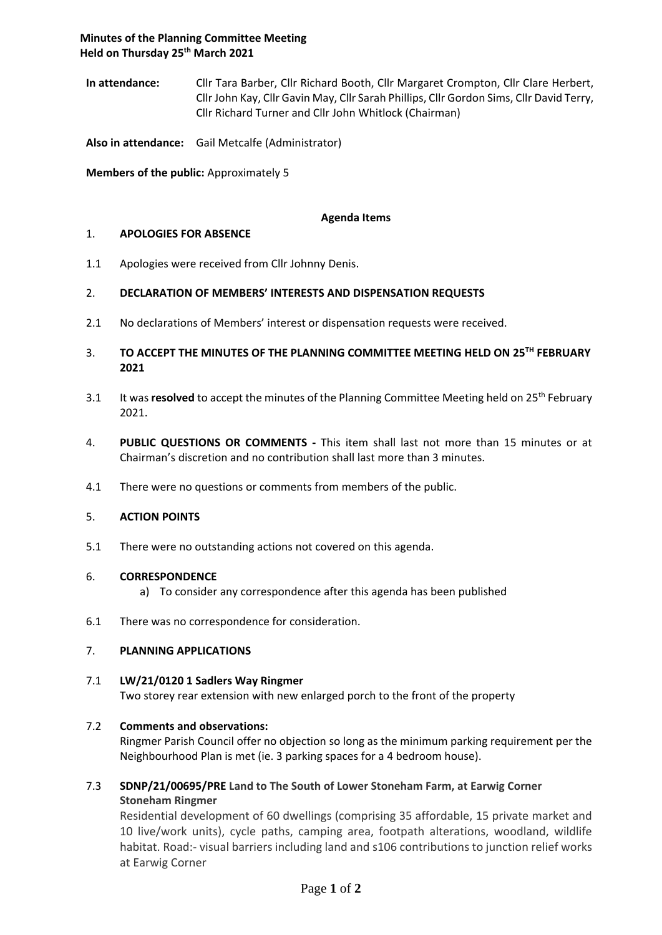**In attendance:** Cllr Tara Barber, Cllr Richard Booth, Cllr Margaret Crompton, Cllr Clare Herbert, Cllr John Kay, Cllr Gavin May, Cllr Sarah Phillips, Cllr Gordon Sims, Cllr David Terry, Cllr Richard Turner and Cllr John Whitlock (Chairman)

**Also in attendance:** Gail Metcalfe (Administrator)

**Members of the public:** Approximately 5

### **Agenda Items**

### 1. **APOLOGIES FOR ABSENCE**

1.1 Apologies were received from Cllr Johnny Denis.

### 2. **DECLARATION OF MEMBERS' INTERESTS AND DISPENSATION REQUESTS**

- 2.1 No declarations of Members' interest or dispensation requests were received.
- 3. **TO ACCEPT THE MINUTES OF THE PLANNING COMMITTEE MEETING HELD ON 25 TH FEBRUARY 2021**
- 3.1 It was **resolved** to accept the minutes of the Planning Committee Meeting held on 25<sup>th</sup> February 2021.
- 4. **PUBLIC QUESTIONS OR COMMENTS -** This item shall last not more than 15 minutes or at Chairman's discretion and no contribution shall last more than 3 minutes.
- 4.1 There were no questions or comments from members of the public.

### 5. **ACTION POINTS**

5.1 There were no outstanding actions not covered on this agenda.

### 6. **CORRESPONDENCE**

- a) To consider any correspondence after this agenda has been published
- 6.1 There was no correspondence for consideration.

### 7. **PLANNING APPLICATIONS**

### 7.1 **LW/21/0120 1 Sadlers Way Ringmer**

Two storey rear extension with new enlarged porch to the front of the property

# 7.2 **Comments and observations:**

Ringmer Parish Council offer no objection so long as the minimum parking requirement per the Neighbourhood Plan is met (ie. 3 parking spaces for a 4 bedroom house).

# 7.3 **SDNP/21/00695/PRE Land to The South of Lower Stoneham Farm, at Earwig Corner Stoneham Ringmer**

Residential development of 60 dwellings (comprising 35 affordable, 15 private market and 10 live/work units), cycle paths, camping area, footpath alterations, woodland, wildlife habitat. Road:- visual barriers including land and s106 contributions to junction relief works at Earwig Corner